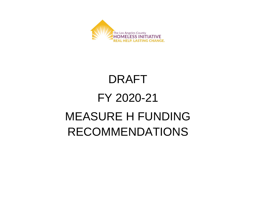

# DRAFT FY 2020-21 MEASURE H FUNDING RECOMMENDATIONS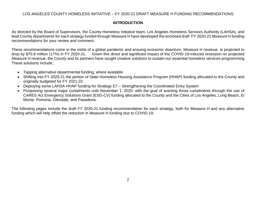## **INTRODUCTION**

As directed by the Board of Supervisors, the County Homeless Initiative team, Los Angeles Homeless Services Authority (LAHSA), and lead County departments for each strategy funded through Measure H have developed the enclosed draft FY 2020-21 Measure H funding recommendations for your review and comment.

These recommendations come in the midst of a global pandemic and ensuing economic downturn. Measure H revenue is projected to drop by \$70.8 million (17%) in FY 2020-21. Given this direct and significant impact of the COVID-19-induced recession on projected Measure H revenue, the County and its partners have sought creative solutions to sustain our essential homeless services programming These solutions include;

- Tapping alternative departmental funding, where available
- Shifting into FY 2020-21 the portion of State Homeless Housing Assistance Program (HHAP) funding allocated to the County and originally budgeted for FY 2021-22
- Deploying some LAHSA HHAP funding for Strategy E7 Strengthening the Coordinated Entry System
- Postponing several major curtailments until November 1, 2020, with the goal of averting those curtailments through the use of CARES Act Emergency Solutions Grant (ESG-CV) funding allocated to the County and the Cities of Los Angeles, Long Beach, El Monte, Pomona, Glendale, and Pasadena.

The following pages include the draft FY 2020-21 funding recommendation for each strategy, both for Measure H and any alternative funding which will help offset the reduction in Measure H funding due to COVID-19.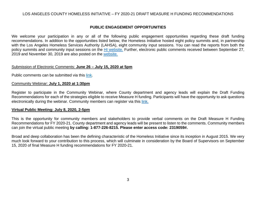## **PUBLIC ENGAGEMENT OPPORTUNITIES**

We welcome your participation in any or all of the following public engagement opportunities regarding these draft funding recommendations. In addition to the opportunities listed below, the Homeless Initiative hosted eight policy summits and, in partnership with the Los Angeles Homeless Services Authority (LAHSA), eight community input sessions. You can read the reports from both the policy summits and community input sessions on the **HI website.** Further, electronic public comments received between September 27, 2019 and November 30, 2019 are also posted on the [website.](https://homeless.lacounty.gov/wp-content/uploads/2020/02/Public-Comments-with-Table-of-Contents-and-Cover-Page_2.25.20_w_headers.pdf)

#### Submission of Electronic Comments: **June 26 – July 15, 2020 at 5pm**

Public comments can be submitted via this [link.](https://forms.gle/bkVHpY2whYVmh8UQ6)

#### Community Webinar: **July 1, 2020 at 1:30pm**

Register to participate in the Community Webinar, where County department and agency leads will explain the Draft Funding Recommendations for each of the strategies eligible to receive Measure H funding. Participants will have the opportunity to ask questions electronically during the webinar. Community members can register via this [link.](https://register.gotowebinar.com/register/8260837975508850958)

#### **Virtual Public Meeting: July 8, 2020, 2-5pm**

This is the opportunity for community members and stakeholders to provide verbal comments on the Draft Measure H Funding Recommendations for FY 2020-21. County department and agency leads will be present to listen to the comments. Community members can join the virtual public meeting **by calling: 1-877-226-8215. Please enter access code: 2319059#.**

Broad and deep collaboration has been the defining characteristic of the Homeless Initiative since its inception in August 2015. We very much look forward to your contribution to this process, which will culminate in consideration by the Board of Supervisors on September 15, 2020 of final Measure H funding recommendations for FY 2020-21.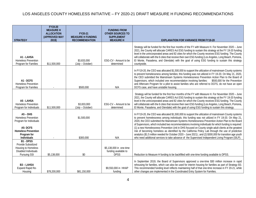|                                                                                                                                     | FY19-20<br><b>MEASURE H</b><br><b>ALLOCATION</b> | FY20-21                                           | <b>FUNDING FROM</b><br><b>OTHER SOURCES TO</b>                 |                                                                                                                                                                                                                                                                                                                                                                                                                                                                                                                                                                                                                                                                                                                                                                                                                                                         |
|-------------------------------------------------------------------------------------------------------------------------------------|--------------------------------------------------|---------------------------------------------------|----------------------------------------------------------------|---------------------------------------------------------------------------------------------------------------------------------------------------------------------------------------------------------------------------------------------------------------------------------------------------------------------------------------------------------------------------------------------------------------------------------------------------------------------------------------------------------------------------------------------------------------------------------------------------------------------------------------------------------------------------------------------------------------------------------------------------------------------------------------------------------------------------------------------------------|
| <b>STRATEGY</b>                                                                                                                     | (APPROVED MAY<br>2019)                           | <b>MEASURE H FUNDING</b><br><b>RECOMMENDATION</b> | <b>SUPPLEMENT</b><br><b>MEASURE H</b>                          | <b>EXPLANATION FOR VARIANCE FROM FY19-20</b>                                                                                                                                                                                                                                                                                                                                                                                                                                                                                                                                                                                                                                                                                                                                                                                                            |
| A1 - LAHSA<br><b>Homeless Prevention</b><br>Program for Families                                                                    | \$11,500,000                                     | \$3,833,000<br>(July - October)                   | ESG-CV - Amount to be<br>determined                            | Strategy will be funded for the first four months of the FY with Measure H. For November 2020 - June<br>2021, the County will allocate CARES Act ESG funding to sustain this strategy at the FY 19-20 funding<br>level in the unincorporated areas and 82 cities for which the County receives ESG funding. The County<br>will collaborate with the 6 cities that receive their own ESG funding (Los Angeles, Long Beach, Pomona,<br>El Monte, Pasadena, and Glendale) with the goal of using ESG funding to sustain this strategy<br>countywide.                                                                                                                                                                                                                                                                                                       |
| A1 - DCFS<br><b>Homeless Prevention</b><br>Program for Families                                                                     |                                                  | \$500,000                                         | N/A                                                            | In FY19-20, the CEO was allocated \$1,500,000 to support the utilization of mainstream County systems<br>to prevent homelessness among families; this funding was not utilized in FY 19-20. On May 21, 2020,<br>the CEO submitted the Mainstream Systems Homelessness Prevention Action Plan to the Board of<br>Supervisors, which included one recommendation involving families:<br>\$500,000 for the Prevention<br>and Aftercare Program for a pilot to assist families who are referred to DCFS, do not have an open<br>DCFS case, and have unstable housing.                                                                                                                                                                                                                                                                                       |
| A5 - LAHSA<br><b>Homeless Prevention</b><br>Program for Individuals                                                                 | \$11,500,000                                     | \$3,833,000<br>(July - October)                   | ESG-CV - Amount to be<br>determined                            | Strategy will be funded for the first four months of the FY with Measure H. For November 2020 - June<br>2021, the County will allocate CARES Act ESG funding to sustain this strategy at the FY 19-20 funding<br>level in the unincorporated areas and 82 cities for which the County receives ESG funding. The County<br>will collaborate with the 6 cities that receive their own ESG funding (Los Angeles, Long Beach, Pomona,<br>El Monte, Pasadena, and Glendale) with the goal of using ESG funding to sustain this strategy.                                                                                                                                                                                                                                                                                                                     |
| $A5 - DHS$<br>Homeless Prevention<br>Program for Individuals<br>A5-DCFS<br><b>Homeless Prevention</b><br>Program for<br>Individuals |                                                  | \$1,500,000<br>\$300,000                          | N/A                                                            | In FY19-20, the CEO was allocated \$1,500,000 to support the utilization of mainstream County systems<br>to prevent homelessness among individuals; this funding was not utilized in FY 19-20. On May 21,<br>2020, the CEO submitted the Mainstream Systems Homelessness Prevention Action Plan to the Board<br>of Supervisors, which included two recommendations involving individuals for which funding is required:<br>(1) a new Homelessness Prevention Unit in DHS focused on County single adult clients at the greatest<br>risk of becoming homeless as identified by the California Policy Lab through the use of predictive<br>analytics (\$1.5 million needed for October 2020 - June 2021); and (2) \$300,000 for transition age youth<br>who need additional services to take advance of the Supervised Independent Living Program (SILP). |
| B1 - DPSS<br>Provide Subsidized<br>Housing to Homeless<br>Disabled Individuals<br>Pursuing SSI                                      | \$5,138,000                                      | \$0                                               | \$5,138,000 in one-time<br>funding available to<br><b>DPSS</b> | Reduction to Measure H funding to be backfilled with one-time funding available to DPSS.                                                                                                                                                                                                                                                                                                                                                                                                                                                                                                                                                                                                                                                                                                                                                                |
| <b>B3 - LAHSA</b><br>Expand Rapid Re-<br>Housing                                                                                    | \$78,200,000                                     | \$81,150,000                                      | \$9,550,000 in HHAP<br>funding                                 | In September 2019, the Board of Supervisors approved a one-time \$30 million increase in rapid<br>rehousing for families, which can also be used for interim housing for families as part of Strategy B3.<br>This recommended funding level reflects maintaining half of that one-time increase in FY 20-21, while<br>other changes are implemented in the Coordinated Entry System for Families.                                                                                                                                                                                                                                                                                                                                                                                                                                                       |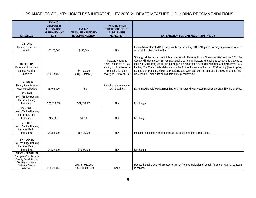| <b>STRATEGY</b>                                                                                                                    | FY19-20<br><b>MEASURE H</b><br><b>ALLOCATION</b><br>(APPROVED MAY<br>2019) | FY20-21<br><b>MEASURE H FUNDING</b><br><b>RECOMMENDATION</b> | <b>FUNDING FROM</b><br><b>OTHER SOURCES TO</b><br><b>SUPPLEMENT</b><br><b>MEASURE H</b>                                    | <b>EXPLANATION FOR VARIANCE FROM FY19-20</b>                                                                                                                                                                                                                                                                                                                                                                                                                                                                                                                                                 |
|------------------------------------------------------------------------------------------------------------------------------------|----------------------------------------------------------------------------|--------------------------------------------------------------|----------------------------------------------------------------------------------------------------------------------------|----------------------------------------------------------------------------------------------------------------------------------------------------------------------------------------------------------------------------------------------------------------------------------------------------------------------------------------------------------------------------------------------------------------------------------------------------------------------------------------------------------------------------------------------------------------------------------------------|
| B <sub>3</sub> - DHS<br>Expand Rapid Re-<br>Housing                                                                                | \$7,205,000                                                                | \$150,000                                                    | N/A                                                                                                                        | Elimination of almost all DHS funding reflects sunsetting of DHS' Rapid Rehousing program and transfer<br>of remaining clients to LAHSA.                                                                                                                                                                                                                                                                                                                                                                                                                                                     |
| <b>B4 - LACDA</b><br>Facilitate Utilization of<br><b>Federal Housing</b><br>Subsidies                                              | \$14,189,000                                                               | \$4,730,000<br>(July - October)                              | Measure H funding<br>based on use of ESG-CV<br>funding to offset Measure<br>H funding for other<br>strategies - Amount TBD | Strategy will be funded from July - October with Measure H. For November 2020 - June 2021, the<br>County will allocate CARES Act ESG funding to free-up Measure H funding to sustain this strategy at<br>the FY 19-20 funding level in the unincorporated areas and 82 cities for which the County receives ESG<br>funding. The County will collaborate with the 6 cities that receive their own ESG funding (Los Angeles,<br>Long Beach, Pomona, El Monte, Pasadena, and Glendale) with the goal of using ESG funding to free-<br>up Measure H funding to sustain this strategy countywide. |
| <b>B6-DCFS</b><br><b>Family Reunification</b><br><b>Housing Subsidies</b>                                                          | \$1,468,000                                                                | \$0                                                          | Potential reinvestment of<br>DCFS savings                                                                                  | DCFS may be able to sustain funding for this strategy by reinvesting savings generated by this strategy.                                                                                                                                                                                                                                                                                                                                                                                                                                                                                     |
| B7 - DHS<br>Interim/Bridge Housing<br>for those Exiting<br>Institutions                                                            | \$21,878,000                                                               | \$21,878,000                                                 | N/A                                                                                                                        | No change                                                                                                                                                                                                                                                                                                                                                                                                                                                                                                                                                                                    |
| B7 - DMH<br>Interim/Bridge Housing<br>for those Exiting<br>Institutions                                                            | \$72,000                                                                   | \$72,000                                                     | N/A                                                                                                                        | No change                                                                                                                                                                                                                                                                                                                                                                                                                                                                                                                                                                                    |
| B7 - DPH<br>Interim/Bridge Housing<br>for those Exiting<br>Institutions                                                            | \$6,683,000                                                                | \$9,415,000                                                  | N/A                                                                                                                        | Increase in bed rate results in increase in cost to maintain current beds.                                                                                                                                                                                                                                                                                                                                                                                                                                                                                                                   |
| <b>B7 - LAHSA</b><br>Interim/Bridge Housing<br>for those Exiting<br>Institutions                                                   | \$4,627,000                                                                | \$4,627,000                                                  | N/A                                                                                                                        | No change                                                                                                                                                                                                                                                                                                                                                                                                                                                                                                                                                                                    |
| C4/5/6 - DHS/DPSS<br>Countywide Supplemental<br>Security/Social Security<br>Disability Income and<br>Veterans Benefits<br>Advocacy | \$11,051,000                                                               | DHS: \$3,951,000<br>DPSS: \$4,600,000                        | <b>None</b>                                                                                                                | Reduced funding due to increased efficiency from centralization of certain functions, with no reduction<br>in services.                                                                                                                                                                                                                                                                                                                                                                                                                                                                      |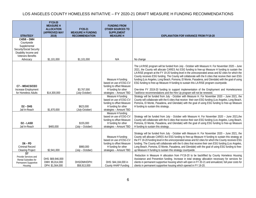| <b>STRATEGY</b>                                                                                                                         | FY19-20<br><b>MEASURE H</b><br><b>ALLOCATION</b><br>(APPROVED MAY<br>2019) | FY20-21<br><b>MEASURE H FUNDING</b><br><b>RECOMMENDATION</b> | <b>FUNDING FROM</b><br><b>OTHER SOURCES TO</b><br><b>SUPPLEMENT</b><br><b>MEASURE H</b>                                                         | <b>EXPLANATION FOR VARIANCE FROM FY19-20</b>                                                                                                                                                                                                                                                                                                                                                                                                                                                                                                                                                                                                                                                                                                                                                                                                                                                |
|-----------------------------------------------------------------------------------------------------------------------------------------|----------------------------------------------------------------------------|--------------------------------------------------------------|-------------------------------------------------------------------------------------------------------------------------------------------------|---------------------------------------------------------------------------------------------------------------------------------------------------------------------------------------------------------------------------------------------------------------------------------------------------------------------------------------------------------------------------------------------------------------------------------------------------------------------------------------------------------------------------------------------------------------------------------------------------------------------------------------------------------------------------------------------------------------------------------------------------------------------------------------------------------------------------------------------------------------------------------------------|
| C4/5/6 - DMH<br>Countywide<br>Supplemental<br>Security/Social Security<br>Disability Income and<br><b>Veterans Benefits</b><br>Advocacy | \$1,101,000                                                                | \$1,101,000                                                  | N/A                                                                                                                                             | No change                                                                                                                                                                                                                                                                                                                                                                                                                                                                                                                                                                                                                                                                                                                                                                                                                                                                                   |
| C7-WDACS/CEO<br>Increase Employment<br>for Homeless Adults                                                                              | \$14,300,000                                                               | \$3,767,000<br>(July-October)                                | Measure H funding<br>based on use of ESG-CV<br>funding to offset Measure<br>H funding for other<br>strategies - Amount TBD<br>Measure H funding | The LA:RISE program will be funded from July - October with Measure H. For November 2020 - June<br>2021, the County will allocate CARES Act ESG funding to free-up Measure H funding to sustain the<br>LA:RISE program at the FY 19-20 funding level in the unincorporated areas and 82 cities for which the<br>County receives ESG funding. The County will collaborate with the 6 cities that receive their own ESG<br>funding (Los Angeles, Long Beach, Pomona, El Monte, Pasadena, and Glendale) with the goal of using<br>ESG funding to free-up Measure H funding to sustain this LA:RISE program countywide.<br>One-time FY 2019-20 funding to support implementation of the Employment and Homelessness<br>Taskforce recommendations and the Hire Up program will not be renewed.<br>Strategy will be funded from July - October with Measure H. For November 2020 - June 2021, the |
| $D2 - DHS$<br>Jail In-Reach                                                                                                             | \$1,870,000                                                                | \$623,000<br>(July-October)                                  | based on use of ESG-CV<br>funding to offset Measure<br>H funding for other<br>strategies - Amount TBD                                           | County will collaborate with the 6 cities that receive their own ESG funding (Los Angeles, Long Beach,<br>Pomona, El Monte, Pasadena, and Glendale) with the goal of using ESG funding to free-up Measure<br>H funding to sustain this strategy.                                                                                                                                                                                                                                                                                                                                                                                                                                                                                                                                                                                                                                            |
| D <sub>2</sub> - LASD<br>Jail In-Reach                                                                                                  | \$465,000                                                                  | \$155,000<br>(July - October)                                | Measure H funding<br>based on use of ESG-CV<br>funding to offset Measure<br>H funding for other<br>strategies - Amount TBD                      | Strategy will be funded from July - October with Measure H. For November 2020 - June 2021, the<br>County will collaborate with the 6 cities that receive their own ESG funding (Los Angeles, Long Beach,<br>Pomona, El Monte, Pasadena, and Glendale) with the goal of using ESG funding to free-up Measure<br>H funding to sustain this strategy.                                                                                                                                                                                                                                                                                                                                                                                                                                                                                                                                          |
| $D6 - PD$<br>Criminal Record<br><b>Clearing Project</b>                                                                                 | \$2,941,000                                                                | \$980,000<br>(July - October)                                | Measure H funding<br>based on use of ESG-CV<br>funding to offset Measure<br>H funding for other<br>strategies - Amount TBD                      | Strategy will be funded from July - October with Measure H. For November 2020 - June 2021, the<br>County will allocate CARES Act ESG funding to free-up Measure H funding to sustain this strategy at<br>the FY 19-20 funding level in the unincorporated areas and 82 cities for which the County receives ESG<br>funding. The County will collaborate with the 6 cities that receive their own ESG funding (Los Angeles,<br>Long Beach, Pomona, El Monte, Pasadena, and Glendale) with the goal of using ESG funding to free-<br>up Measure H funding to sustain this strategy countywide.                                                                                                                                                                                                                                                                                                |
| D <sub>7</sub><br>Provide Services and<br>Rental Subsidies for<br>Permanent Supportive<br>Housing                                       | DHS: \$69,946,000<br>DMH: \$5,814,000<br>DPH: \$1,564,000                  | DHS/DMH/DPH:<br>\$58,913,000                                 | DHS: \$44,184,000 in<br>County HHAP Funding                                                                                                     | Reduction in Measure H allocation from FY19-20 to be backfilled by County Homeless Housing<br>Assistance and Prevention funding. Increase in total strategy allocation necessary for services for<br>clients in permanent supportive housing which will open in FY 20-21 and annualized, full-year costs for<br>clients in permanent supportive housing which opened in FY 19-20.                                                                                                                                                                                                                                                                                                                                                                                                                                                                                                           |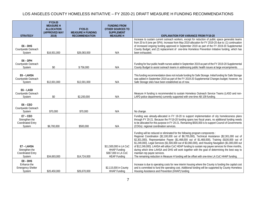|                                                                    | FY19-20<br><b>MEASURE H</b><br><b>ALLOCATION</b><br>(APPROVED MAY | FY20-21<br><b>MEASURE H FUNDING</b> | <b>FUNDING FROM</b><br><b>OTHER SOURCES TO</b><br><b>SUPPLEMENT</b>                         |                                                                                                                                                                                                                                                                                                                                                                                                                                                                                                                                                                                                                                                                                                                                             |
|--------------------------------------------------------------------|-------------------------------------------------------------------|-------------------------------------|---------------------------------------------------------------------------------------------|---------------------------------------------------------------------------------------------------------------------------------------------------------------------------------------------------------------------------------------------------------------------------------------------------------------------------------------------------------------------------------------------------------------------------------------------------------------------------------------------------------------------------------------------------------------------------------------------------------------------------------------------------------------------------------------------------------------------------------------------|
| <b>STRATEGY</b>                                                    | 2019)                                                             | <b>RECOMMENDATION</b>               | <b>MEASURE H</b>                                                                            | <b>EXPLANATION FOR VARIANCE FROM FY19-20</b>                                                                                                                                                                                                                                                                                                                                                                                                                                                                                                                                                                                                                                                                                                |
| $E6 - DHS$<br>Countywide Outreach<br>System                        | \$16,931,000                                                      | \$26,083,000                        | N/A                                                                                         | Increase to sustain current outreach workers, except for reduction of public space generalist teams<br>from 20 to 8 (one per SPA). Increase from May 2019 allocation for FY 2019-20 due to: (1) continuation<br>of increased ongoing funding approved in September 2019 as part of the FY 2019-20 Supplemental<br>County Budget; and (2) replacement of one-time Homeless Prevention Initiative funding, which has<br>been exhausted.                                                                                                                                                                                                                                                                                                       |
| $E6 - DPH$<br>Countywide Outreach<br>System                        | \$0                                                               | \$756,000                           | N/A                                                                                         | Funding for four public health nurses added in September 2019 as part of the FY 2019-20 Supplemental<br>County Budget to assist outreach teams in addressing public health issues at large encampments.                                                                                                                                                                                                                                                                                                                                                                                                                                                                                                                                     |
| E6-LAHSA<br>Countywide Outreach<br>System                          | \$12,001,000                                                      | \$12,001,000                        | N/A                                                                                         | This funding recommendation does not include funding for Safe Storage. Initial funding for Safe Storage<br>was added in September 2019 as part of the FY 2019-20 Supplemental Changes budget; however, no<br>Safe Storage sites have been established as of now.                                                                                                                                                                                                                                                                                                                                                                                                                                                                            |
| E6-LASD<br>Countywide Outreach<br>System                           | \$0                                                               | \$2,200,000                         | N/A                                                                                         | Measure H funding is recommended to sustain Homeless Outreach Service Teams (LASD and non-<br>LAPD police departments) currently supported with one-time AB 109 funding.                                                                                                                                                                                                                                                                                                                                                                                                                                                                                                                                                                    |
| $E6 - CEO$<br>Countywide Outreach<br>System                        | \$70,000                                                          | \$70,000                            | N/A                                                                                         | No change.                                                                                                                                                                                                                                                                                                                                                                                                                                                                                                                                                                                                                                                                                                                                  |
| $E7 - CEO$<br>Strengthen the<br><b>Coordinated Entry</b><br>System | \$6,700,000                                                       | \$500,000                           | N/A                                                                                         | Funding was already-allocated in FY 19-20 to support implementation of city homelessness plans<br>through FY 20-21. Because the FY19-20 funding spans two fiscal years, no additional funding needs<br>to be allocated for this purpose in FY 20-21. Remaining \$500,000 is to support Council of Governments<br>(COGs) regional coordination services.                                                                                                                                                                                                                                                                                                                                                                                     |
| E7 - LAHSA<br>Strengthen the<br><b>Coordinated Entry</b><br>System | \$34,693,000                                                      | \$14,724,000                        | \$11,500,000 in LA CoC<br><b>HHAP Funding</b><br>\$367,000 in LA CoC<br><b>HEAP Funding</b> | Funding will be reduced or eliminated for the following program components :<br>Regional Coordination (\$2,100,000 out of \$8,705,000), Technical Assistance (\$2,301,000 out of<br>\$2,301,000), Representative Payee (\$1,468,000 out of \$1,468,000), Training (\$100,000 out of<br>\$1,249,000), Legal Services (\$1,500,000 out of \$3,060,000), and Housing Navigation (\$1,000,000 out<br>of \$12,249,000). LAHSA will utilize CoC HEAP funding to sustain rep payee services for three months,<br>during which time LAHSA and DHS will work together with the goal of determining the best way to<br>maintain rep payee services.<br>The remaining reduction in Measure H funding will be offset with one-time LA CoC HHAP funding. |
| $E8 - DHS$<br>Enhance the<br><b>Emergency Shelter</b><br>System    | \$20,450,000                                                      | \$26,670,000                        | \$2,115,000 in County<br><b>HHAP Funding</b>                                                | Increase is due to operating costs for new interim housing where the County is funding the capital cost<br>and is committed to fund the operating cost. Additional funding will be supported by County Homeless<br>Housing Assistance and Prevention (HHAP) funding                                                                                                                                                                                                                                                                                                                                                                                                                                                                         |